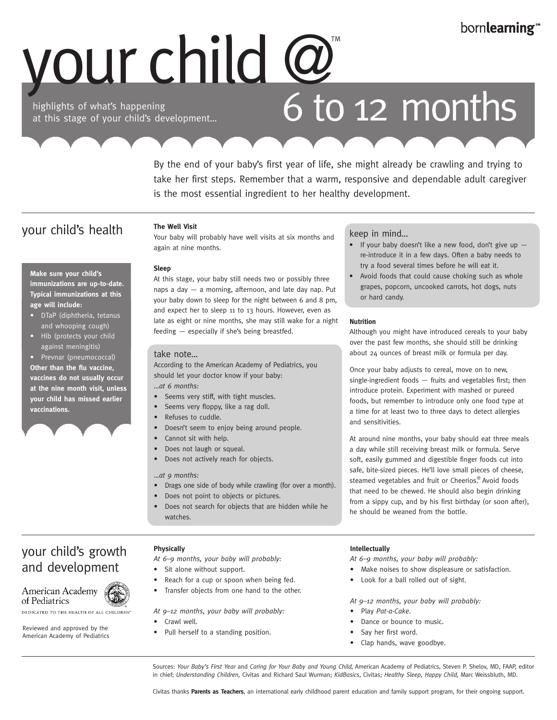# bornlearning<sup>®</sup>

# your child @

highlights of what's happening at this stage of your child's development…

# 6 to 12 months

By the end of your baby's first year of life, she might already be crawling and trying to take her first steps. Remember that a warm, responsive and dependable adult caregiver is the most essential ingredient to her healthy development.

# your child's health

**Make sure your child's immunizations are up-to-date. Typical immunizations at this** 

• DTaP (diphtheria, tetanus and whooping cough) • Hib (protects your child against meningitis) • Prevnar (pneumococcal) **Other than the flu vaccine, vaccines do not usually occur at the nine month visit, unless your child has missed earlier** 

**age will include:** 

**vaccinations.** 

**The Well Visit**

Your baby will probably have well visits at six months and again at nine months.

### **Sleep**

At this stage, your baby still needs two or possibly three naps a day — a morning, afternoon, and late day nap. Put your baby down to sleep for the night between 6 and 8 pm, and expect her to sleep 11 to 13 hours. However, even as late as eight or nine months, she may still wake for a night feeding — especially if she's being breastfed.

### take note…

According to the American Academy of Pediatrics, you should let your doctor know if your baby: *…at 6 months:*

- Seems very stiff, with tight muscles.
- Seems very floppy, like a rag doll.
- Refuses to cuddle.
- Doesn't seem to enjoy being around people.
- Cannot sit with help.
- Does not laugh or squeal.
- Does not actively reach for objects.

### *…at 9 months:*

- Drags one side of body while crawling (for over a month).
- Does not point to objects or pictures.
- Does not search for objects that are hidden while he watches.

# your child's growth and development

### American Academy of Pediatrics

DEDICATED TO THE HEALTH OF ALL CHILDREN"

Reviewed and approved by the American Academy of Pediatrics

### **Physically**

*At 6–9 months, your baby will probably:*

- Sit alone without support.
- Reach for a cup or spoon when being fed.
- Transfer objects from one hand to the other.

*At 9–12 months, your baby will probably:*

- Crawl well.
- Pull herself to a standing position.

### keep in mind…

- If your baby doesn't like a new food, don't give up  $$ re-introduce it in a few days. Often a baby needs to try a food several times before he will eat it.
- Avoid foods that could cause choking such as whole grapes, popcorn, uncooked carrots, hot dogs, nuts or hard candy.

#### **Nutrition**

Although you might have introduced cereals to your baby over the past few months, she should still be drinking about 24 ounces of breast milk or formula per day.

Once your baby adjusts to cereal, move on to new, single-ingredient foods — fruits and vegetables first; then introduce protein. Experiment with mashed or pureed foods, but remember to introduce only one food type at a time for at least two to three days to detect allergies and sensitivities.

At around nine months, your baby should eat three meals a day while still receiving breast milk or formula. Serve soft, easily gummed and digestible finger foods cut into safe, bite-sized pieces. He'll love small pieces of cheese, steamed vegetables and fruit or Cheerios.<sup>®</sup> Avoid foods that need to be chewed. He should also begin drinking from a sippy cup, and by his first birthday (or soon after), he should be weaned from the bottle.

### **Intellectually**

*At 6–9 months, your baby will probably:*

- Make noises to show displeasure or satisfaction.
- Look for a ball rolled out of sight.
- *At 9–12 months, your baby will probably:*
- Play *Pat-a-Cake*.
- Dance or bounce to music.
- Say her first word.
- Clap hands, wave goodbye.

Sources: *Your Baby's First Year* and *Caring for Your Baby and Young Child,* American Academy of Pediatrics, Steven P. Shelov, MD, FAAP, editor in chief; *Understanding Children,* Civitas and Richard Saul Wurman; *KidBasics*, Civitas; *Healthy Sleep, Happy Child,* Marc Weissbluth, MD.

Civitas thanks **Parents as Teachers**, an international early childhood parent education and family support program, for their ongoing support.